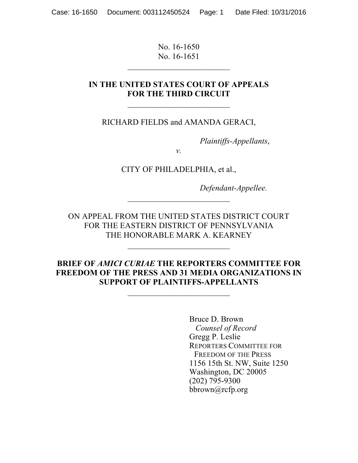No. 16-1650 No. 16-1651

 $\mathcal{L}_\text{max}$  , where  $\mathcal{L}_\text{max}$  , we have the set of  $\mathcal{L}_\text{max}$ 

#### **IN THE UNITED STATES COURT OF APPEALS FOR THE THIRD CIRCUIT**

RICHARD FIELDS and AMANDA GERACI,

*Plaintiffs-Appellants*,

*v.*

CITY OF PHILADELPHIA, et al.,

*Defendant-Appellee.*

ON APPEAL FROM THE UNITED STATES DISTRICT COURT FOR THE EASTERN DISTRICT OF PENNSYLVANIA THE HONORABLE MARK A. KEARNEY

 $\mathcal{L}_\text{max}$  , where  $\mathcal{L}_\text{max}$  , we have the set of  $\mathcal{L}_\text{max}$ 

 $\mathcal{L}_\text{max}$  , where  $\mathcal{L}_\text{max}$  , we have the set of  $\mathcal{L}_\text{max}$ 

### **BRIEF OF** *AMICI CURIAE* **THE REPORTERS COMMITTEE FOR FREEDOM OF THE PRESS AND 31 MEDIA ORGANIZATIONS IN SUPPORT OF PLAINTIFFS-APPELLANTS**

 $\mathcal{L}_\text{max}$  , where  $\mathcal{L}_\text{max}$  , we have the set of  $\mathcal{L}_\text{max}$ 

Bruce D. Brown *Counsel of Record* Gregg P. Leslie REPORTERS COMMITTEE FOR FREEDOM OF THE PRESS 1156 15th St. NW, Suite 1250 Washington, DC 20005 (202) 795-9300 bbrown@rcfp.org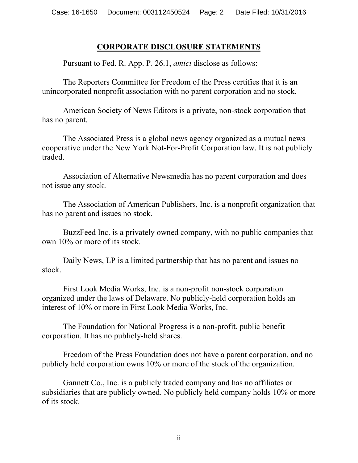## **CORPORATE DISCLOSURE STATEMENTS**

Pursuant to Fed. R. App. P. 26.1, *amici* disclose as follows:

The Reporters Committee for Freedom of the Press certifies that it is an unincorporated nonprofit association with no parent corporation and no stock.

American Society of News Editors is a private, non-stock corporation that has no parent.

The Associated Press is a global news agency organized as a mutual news cooperative under the New York Not-For-Profit Corporation law. It is not publicly traded.

Association of Alternative Newsmedia has no parent corporation and does not issue any stock.

The Association of American Publishers, Inc. is a nonprofit organization that has no parent and issues no stock.

BuzzFeed Inc. is a privately owned company, with no public companies that own 10% or more of its stock.

Daily News, LP is a limited partnership that has no parent and issues no stock.

First Look Media Works, Inc. is a non-profit non-stock corporation organized under the laws of Delaware. No publicly-held corporation holds an interest of 10% or more in First Look Media Works, Inc.

The Foundation for National Progress is a non-profit, public benefit corporation. It has no publicly-held shares.

Freedom of the Press Foundation does not have a parent corporation, and no publicly held corporation owns 10% or more of the stock of the organization.

Gannett Co., Inc. is a publicly traded company and has no affiliates or subsidiaries that are publicly owned. No publicly held company holds 10% or more of its stock.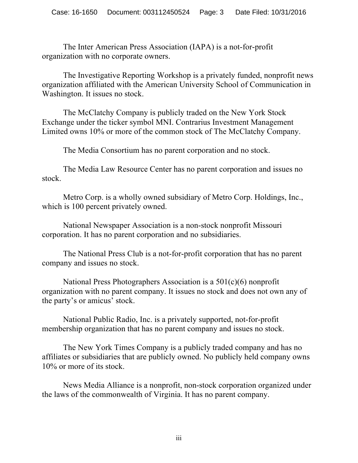The Inter American Press Association (IAPA) is a not-for-profit organization with no corporate owners.

The Investigative Reporting Workshop is a privately funded, nonprofit news organization affiliated with the American University School of Communication in Washington. It issues no stock.

The McClatchy Company is publicly traded on the New York Stock Exchange under the ticker symbol MNI. Contrarius Investment Management Limited owns 10% or more of the common stock of The McClatchy Company.

The Media Consortium has no parent corporation and no stock.

The Media Law Resource Center has no parent corporation and issues no stock.

Metro Corp. is a wholly owned subsidiary of Metro Corp. Holdings, Inc., which is 100 percent privately owned.

National Newspaper Association is a non-stock nonprofit Missouri corporation. It has no parent corporation and no subsidiaries.

The National Press Club is a not-for-profit corporation that has no parent company and issues no stock.

National Press Photographers Association is a 501(c)(6) nonprofit organization with no parent company. It issues no stock and does not own any of the party's or amicus' stock.

National Public Radio, Inc. is a privately supported, not-for-profit membership organization that has no parent company and issues no stock.

The New York Times Company is a publicly traded company and has no affiliates or subsidiaries that are publicly owned. No publicly held company owns 10% or more of its stock.

News Media Alliance is a nonprofit, non-stock corporation organized under the laws of the commonwealth of Virginia. It has no parent company.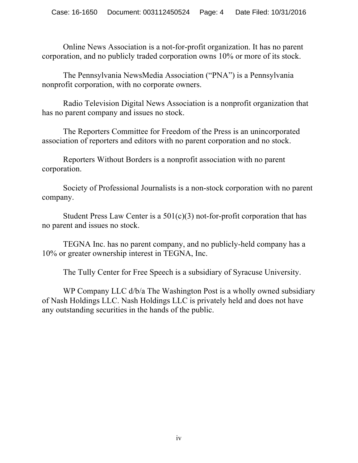Online News Association is a not-for-profit organization. It has no parent corporation, and no publicly traded corporation owns 10% or more of its stock.

The Pennsylvania NewsMedia Association ("PNA") is a Pennsylvania nonprofit corporation, with no corporate owners.

Radio Television Digital News Association is a nonprofit organization that has no parent company and issues no stock.

The Reporters Committee for Freedom of the Press is an unincorporated association of reporters and editors with no parent corporation and no stock.

Reporters Without Borders is a nonprofit association with no parent corporation.

Society of Professional Journalists is a non-stock corporation with no parent company.

Student Press Law Center is a  $501(c)(3)$  not-for-profit corporation that has no parent and issues no stock.

TEGNA Inc. has no parent company, and no publicly-held company has a 10% or greater ownership interest in TEGNA, Inc.

The Tully Center for Free Speech is a subsidiary of Syracuse University.

WP Company LLC  $d/b/a$  The Washington Post is a wholly owned subsidiary of Nash Holdings LLC. Nash Holdings LLC is privately held and does not have any outstanding securities in the hands of the public.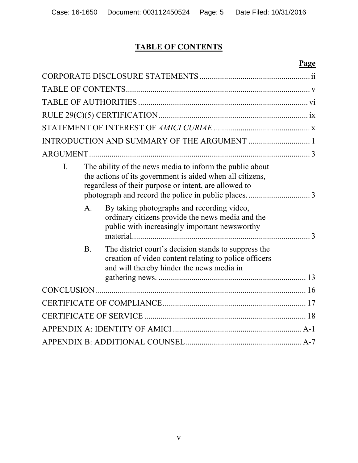# **TABLE OF CONTENTS**

# **Page**

| $\overline{L}$ |                | The ability of the news media to inform the public about<br>the actions of its government is aided when all citizens,<br>regardless of their purpose or intent, are allowed to |  |
|----------------|----------------|--------------------------------------------------------------------------------------------------------------------------------------------------------------------------------|--|
|                | $\mathsf{A}$ . | By taking photographs and recording video,<br>ordinary citizens provide the news media and the<br>public with increasingly important newsworthy                                |  |
|                | <b>B</b> .     | The district court's decision stands to suppress the<br>creation of video content relating to police officers<br>and will thereby hinder the news media in                     |  |
|                |                |                                                                                                                                                                                |  |
|                |                |                                                                                                                                                                                |  |
|                |                |                                                                                                                                                                                |  |
|                |                |                                                                                                                                                                                |  |
|                |                |                                                                                                                                                                                |  |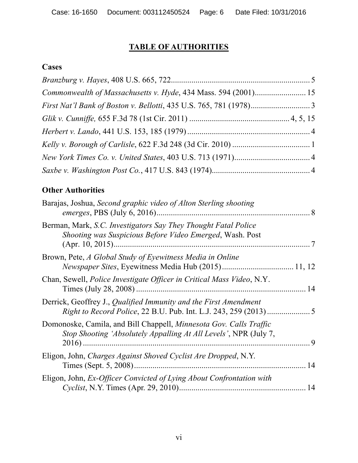# **TABLE OF AUTHORITIES**

# **Cases**

| Commonwealth of Massachusetts v. Hyde, 434 Mass. 594 (2001) 15 |  |
|----------------------------------------------------------------|--|
|                                                                |  |
|                                                                |  |
|                                                                |  |
|                                                                |  |
|                                                                |  |
|                                                                |  |

# **Other Authorities**

| Barajas, Joshua, Second graphic video of Alton Sterling shooting                                                                             |    |
|----------------------------------------------------------------------------------------------------------------------------------------------|----|
| Berman, Mark, S.C. Investigators Say They Thought Fatal Police<br>Shooting was Suspicious Before Video Emerged, Wash. Post                   |    |
| Brown, Pete, A Global Study of Eyewitness Media in Online                                                                                    |    |
| Chan, Sewell, <i>Police Investigate Officer in Critical Mass Video</i> , N.Y.                                                                |    |
| Derrick, Geoffrey J., Qualified Immunity and the First Amendment<br><i>Right to Record Police, 22 B.U. Pub. Int. L.J. 243, 259 (2013) </i> 5 |    |
| Domonoske, Camila, and Bill Chappell, Minnesota Gov. Calls Traffic<br>Stop Shooting 'Absolutely Appalling At All Levels', NPR (July 7,       | 9  |
| Eligon, John, Charges Against Shoved Cyclist Are Dropped, N.Y.                                                                               | 14 |
| Eligon, John, Ex-Officer Convicted of Lying About Confrontation with                                                                         |    |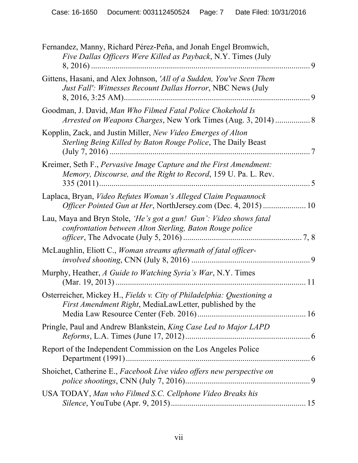| Fernandez, Manny, Richard Pérez-Peña, and Jonah Engel Bromwich,<br>Five Dallas Officers Were Killed as Payback, N.Y. Times (July     | 9   |
|--------------------------------------------------------------------------------------------------------------------------------------|-----|
| Gittens, Hasani, and Alex Johnson, 'All of a Sudden, You've Seen Them<br>Just Fall': Witnesses Recount Dallas Horror, NBC News (July | 9   |
| Goodman, J. David, Man Who Filmed Fatal Police Chokehold Is                                                                          |     |
| Kopplin, Zack, and Justin Miller, New Video Emerges of Alton<br>Sterling Being Killed by Baton Rouge Police, The Daily Beast         |     |
| Kreimer, Seth F., Pervasive Image Capture and the First Amendment:<br>Memory, Discourse, and the Right to Record, 159 U. Pa. L. Rev. |     |
| Laplaca, Bryan, Video Refutes Woman's Alleged Claim Pequannock                                                                       |     |
| Lau, Maya and Bryn Stole, 'He's got a gun! Gun': Video shows fatal<br>confrontation between Alton Sterling, Baton Rouge police       | 7,8 |
| McLaughlin, Eliott C., Woman streams aftermath of fatal officer-                                                                     | 9   |
| Murphy, Heather, A Guide to Watching Syria's War, N.Y. Times                                                                         | 11  |
| Osterreicher, Mickey H., Fields v. City of Philadelphia: Questioning a<br>First Amendment Right, MediaLawLetter, published by the    |     |
| Pringle, Paul and Andrew Blankstein, King Case Led to Major LAPD                                                                     |     |
| Report of the Independent Commission on the Los Angeles Police                                                                       |     |
| Shoichet, Catherine E., Facebook Live video offers new perspective on                                                                |     |
| USA TODAY, Man who Filmed S.C. Cellphone Video Breaks his                                                                            |     |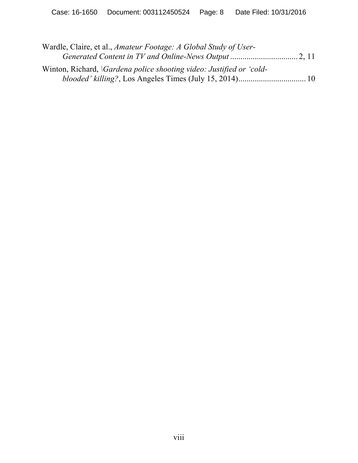| Wardle, Claire, et al., Amateur Footage: A Global Study of User-           |  |
|----------------------------------------------------------------------------|--|
|                                                                            |  |
| Winton, Richard, <i>Gardena police shooting video: Justified or 'cold-</i> |  |
|                                                                            |  |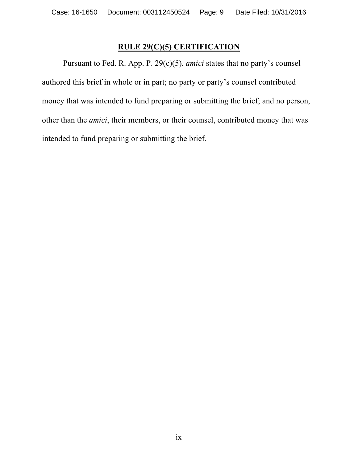## **RULE 29(C)(5) CERTIFICATION**

Pursuant to Fed. R. App. P. 29(c)(5), *amici* states that no party's counsel authored this brief in whole or in part; no party or party's counsel contributed money that was intended to fund preparing or submitting the brief; and no person, other than the *amici*, their members, or their counsel, contributed money that was intended to fund preparing or submitting the brief.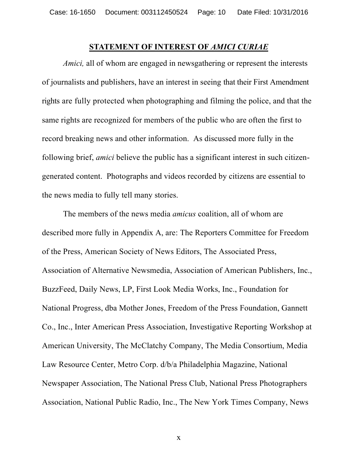#### **STATEMENT OF INTEREST OF** *AMICI CURIAE*

*Amici*, all of whom are engaged in newsgathering or represent the interests of journalists and publishers, have an interest in seeing that their First Amendment rights are fully protected when photographing and filming the police, and that the same rights are recognized for members of the public who are often the first to record breaking news and other information. As discussed more fully in the following brief, *amici* believe the public has a significant interest in such citizengenerated content. Photographs and videos recorded by citizens are essential to the news media to fully tell many stories.

The members of the news media *amicus* coalition, all of whom are described more fully in Appendix A, are: The Reporters Committee for Freedom of the Press, American Society of News Editors, The Associated Press, Association of Alternative Newsmedia, Association of American Publishers, Inc., BuzzFeed, Daily News, LP, First Look Media Works, Inc., Foundation for National Progress, dba Mother Jones, Freedom of the Press Foundation, Gannett Co., Inc., Inter American Press Association, Investigative Reporting Workshop at American University, The McClatchy Company, The Media Consortium, Media Law Resource Center, Metro Corp. d/b/a Philadelphia Magazine, National Newspaper Association, The National Press Club, National Press Photographers Association, National Public Radio, Inc., The New York Times Company, News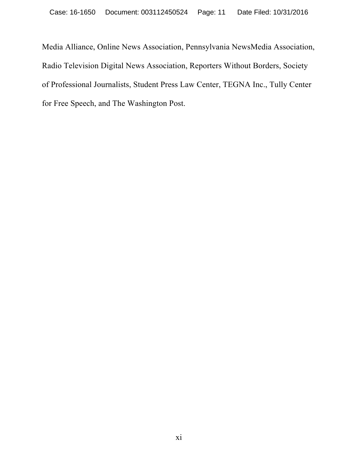Media Alliance, Online News Association, Pennsylvania NewsMedia Association, Radio Television Digital News Association, Reporters Without Borders, Society of Professional Journalists, Student Press Law Center, TEGNA Inc., Tully Center for Free Speech, and The Washington Post.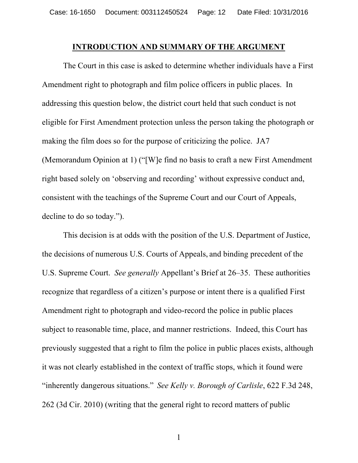#### **INTRODUCTION AND SUMMARY OF THE ARGUMENT**

The Court in this case is asked to determine whether individuals have a First Amendment right to photograph and film police officers in public places. In addressing this question below, the district court held that such conduct is not eligible for First Amendment protection unless the person taking the photograph or making the film does so for the purpose of criticizing the police. JA7 (Memorandum Opinion at 1) ("[W]e find no basis to craft a new First Amendment right based solely on 'observing and recording' without expressive conduct and, consistent with the teachings of the Supreme Court and our Court of Appeals, decline to do so today.").

This decision is at odds with the position of the U.S. Department of Justice, the decisions of numerous U.S. Courts of Appeals, and binding precedent of the U.S. Supreme Court. *See generally* Appellant's Brief at 26–35. These authorities recognize that regardless of a citizen's purpose or intent there is a qualified First Amendment right to photograph and video-record the police in public places subject to reasonable time, place, and manner restrictions. Indeed, this Court has previously suggested that a right to film the police in public places exists, although it was not clearly established in the context of traffic stops, which it found were "inherently dangerous situations." *See Kelly v. Borough of Carlisle*, 622 F.3d 248, 262 (3d Cir. 2010) (writing that the general right to record matters of public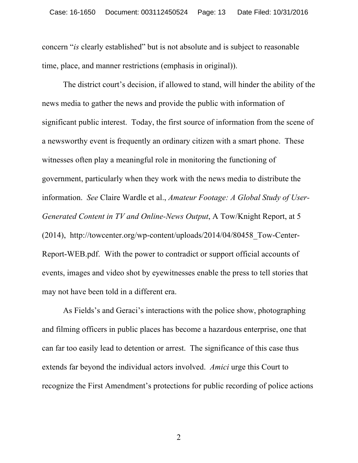concern "*is* clearly established" but is not absolute and is subject to reasonable time, place, and manner restrictions (emphasis in original)).

The district court's decision, if allowed to stand, will hinder the ability of the news media to gather the news and provide the public with information of significant public interest. Today, the first source of information from the scene of a newsworthy event is frequently an ordinary citizen with a smart phone. These witnesses often play a meaningful role in monitoring the functioning of government, particularly when they work with the news media to distribute the information. *See* Claire Wardle et al., *Amateur Footage: A Global Study of User-Generated Content in TV and Online-News Output*, A Tow/Knight Report, at 5 (2014), http://towcenter.org/wp-content/uploads/2014/04/80458\_Tow-Center-Report-WEB.pdf. With the power to contradict or support official accounts of events, images and video shot by eyewitnesses enable the press to tell stories that may not have been told in a different era.

As Fields's and Geraci's interactions with the police show, photographing and filming officers in public places has become a hazardous enterprise, one that can far too easily lead to detention or arrest. The significance of this case thus extends far beyond the individual actors involved. *Amici* urge this Court to recognize the First Amendment's protections for public recording of police actions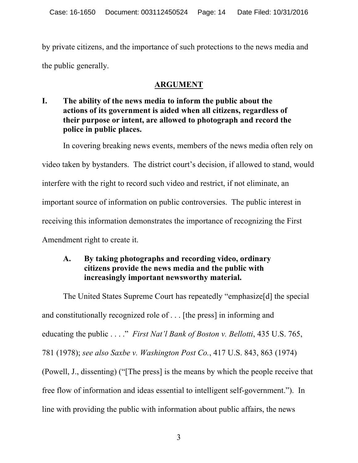by private citizens, and the importance of such protections to the news media and the public generally.

# **ARGUMENT**

**I. The ability of the news media to inform the public about the actions of its government is aided when all citizens, regardless of their purpose or intent, are allowed to photograph and record the police in public places.** 

In covering breaking news events, members of the news media often rely on video taken by bystanders. The district court's decision, if allowed to stand, would interfere with the right to record such video and restrict, if not eliminate, an important source of information on public controversies. The public interest in receiving this information demonstrates the importance of recognizing the First Amendment right to create it.

# **A. By taking photographs and recording video, ordinary citizens provide the news media and the public with increasingly important newsworthy material.**

The United States Supreme Court has repeatedly "emphasize[d] the special and constitutionally recognized role of . . . [the press] in informing and educating the public . . . ." *First Nat'l Bank of Boston v. Bellotti*, 435 U.S. 765, 781 (1978); *see also Saxbe v. Washington Post Co.*, 417 U.S. 843, 863 (1974) (Powell, J., dissenting) ("[The press] is the means by which the people receive that free flow of information and ideas essential to intelligent self-government."). In line with providing the public with information about public affairs, the news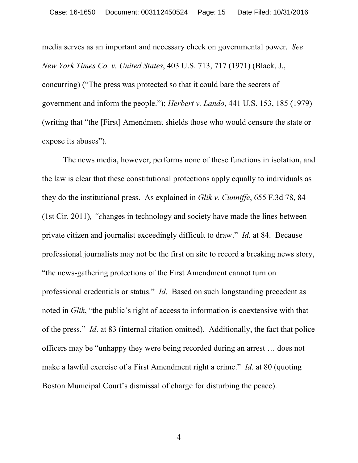media serves as an important and necessary check on governmental power. *See New York Times Co. v. United States*, 403 U.S. 713, 717 (1971) (Black, J., concurring) ("The press was protected so that it could bare the secrets of government and inform the people."); *Herbert v. Lando*, 441 U.S. 153, 185 (1979) (writing that "the [First] Amendment shields those who would censure the state or expose its abuses").

The news media, however, performs none of these functions in isolation, and the law is clear that these constitutional protections apply equally to individuals as they do the institutional press. As explained in *Glik v. Cunniffe*, 655 F.3d 78, 84 (1st Cir. 2011)*, "c*hanges in technology and society have made the lines between private citizen and journalist exceedingly difficult to draw." *Id.* at 84. Because professional journalists may not be the first on site to record a breaking news story, "the news-gathering protections of the First Amendment cannot turn on professional credentials or status." *Id*. Based on such longstanding precedent as noted in *Glik*, "the public's right of access to information is coextensive with that of the press." *Id*. at 83 (internal citation omitted). Additionally, the fact that police officers may be "unhappy they were being recorded during an arrest … does not make a lawful exercise of a First Amendment right a crime." *Id*. at 80 (quoting Boston Municipal Court's dismissal of charge for disturbing the peace).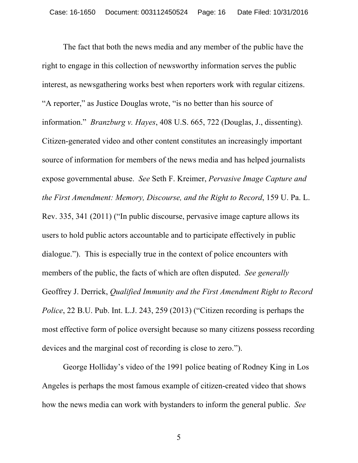The fact that both the news media and any member of the public have the right to engage in this collection of newsworthy information serves the public interest, as newsgathering works best when reporters work with regular citizens. "A reporter," as Justice Douglas wrote, "is no better than his source of information." *Branzburg v. Hayes*, 408 U.S. 665, 722 (Douglas, J., dissenting). Citizen-generated video and other content constitutes an increasingly important source of information for members of the news media and has helped journalists expose governmental abuse. *See* Seth F. Kreimer, *Pervasive Image Capture and the First Amendment: Memory, Discourse, and the Right to Record*, 159 U. Pa. L. Rev. 335, 341 (2011) ("In public discourse, pervasive image capture allows its users to hold public actors accountable and to participate effectively in public dialogue."). This is especially true in the context of police encounters with members of the public, the facts of which are often disputed. *See generally* Geoffrey J. Derrick, *Qualified Immunity and the First Amendment Right to Record Police*, 22 B.U. Pub. Int. L.J. 243, 259 (2013) ("Citizen recording is perhaps the most effective form of police oversight because so many citizens possess recording devices and the marginal cost of recording is close to zero.").

George Holliday's video of the 1991 police beating of Rodney King in Los Angeles is perhaps the most famous example of citizen-created video that shows how the news media can work with bystanders to inform the general public. *See*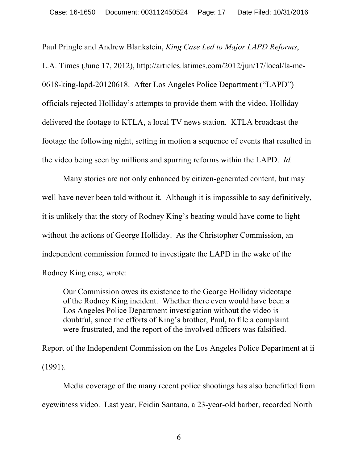Paul Pringle and Andrew Blankstein, *King Case Led to Major LAPD Reforms*, L.A. Times (June 17, 2012), http://articles.latimes.com/2012/jun/17/local/la-me-0618-king-lapd-20120618. After Los Angeles Police Department ("LAPD") officials rejected Holliday's attempts to provide them with the video, Holliday delivered the footage to KTLA, a local TV news station. KTLA broadcast the footage the following night, setting in motion a sequence of events that resulted in the video being seen by millions and spurring reforms within the LAPD. *Id.*

Many stories are not only enhanced by citizen-generated content, but may well have never been told without it. Although it is impossible to say definitively, it is unlikely that the story of Rodney King's beating would have come to light without the actions of George Holliday. As the Christopher Commission, an independent commission formed to investigate the LAPD in the wake of the Rodney King case, wrote:

Our Commission owes its existence to the George Holliday videotape of the Rodney King incident. Whether there even would have been a Los Angeles Police Department investigation without the video is doubtful, since the efforts of King's brother, Paul, to file a complaint were frustrated, and the report of the involved officers was falsified.

Report of the Independent Commission on the Los Angeles Police Department at ii (1991).

Media coverage of the many recent police shootings has also benefitted from eyewitness video. Last year, Feidin Santana, a 23-year-old barber, recorded North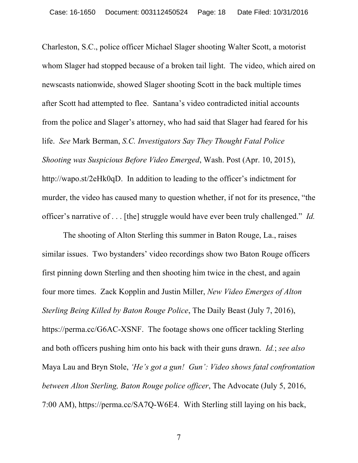Charleston, S.C., police officer Michael Slager shooting Walter Scott, a motorist whom Slager had stopped because of a broken tail light. The video, which aired on newscasts nationwide, showed Slager shooting Scott in the back multiple times after Scott had attempted to flee. Santana's video contradicted initial accounts from the police and Slager's attorney, who had said that Slager had feared for his life. *See* Mark Berman, *S.C. Investigators Say They Thought Fatal Police Shooting was Suspicious Before Video Emerged*, Wash. Post (Apr. 10, 2015), http://wapo.st/2eHk0qD. In addition to leading to the officer's indictment for murder, the video has caused many to question whether, if not for its presence, "the officer's narrative of . . . [the] struggle would have ever been truly challenged." *Id.*

The shooting of Alton Sterling this summer in Baton Rouge, La., raises similar issues. Two bystanders' video recordings show two Baton Rouge officers first pinning down Sterling and then shooting him twice in the chest, and again four more times. Zack Kopplin and Justin Miller, *New Video Emerges of Alton Sterling Being Killed by Baton Rouge Police*, The Daily Beast (July 7, 2016), https://perma.cc/G6AC-XSNF. The footage shows one officer tackling Sterling and both officers pushing him onto his back with their guns drawn. *Id.*; *see also* Maya Lau and Bryn Stole, *'He's got a gun! Gun': Video shows fatal confrontation between Alton Sterling, Baton Rouge police officer*, The Advocate (July 5, 2016, 7:00 AM), https://perma.cc/SA7Q-W6E4. With Sterling still laying on his back,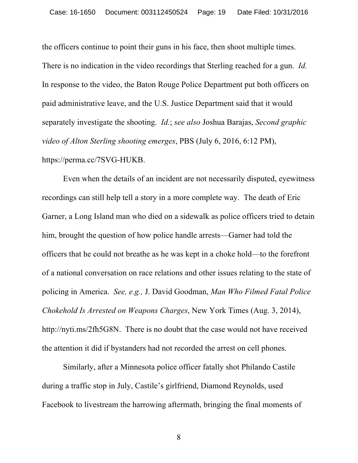the officers continue to point their guns in his face, then shoot multiple times. There is no indication in the video recordings that Sterling reached for a gun. *Id.* In response to the video, the Baton Rouge Police Department put both officers on paid administrative leave, and the U.S. Justice Department said that it would separately investigate the shooting. *Id.*; *see also* Joshua Barajas, *Second graphic video of Alton Sterling shooting emerges*, PBS (July 6, 2016, 6:12 PM), https://perma.cc/7SVG-HUKB.

Even when the details of an incident are not necessarily disputed, eyewitness recordings can still help tell a story in a more complete way. The death of Eric Garner, a Long Island man who died on a sidewalk as police officers tried to detain him, brought the question of how police handle arrests—Garner had told the officers that he could not breathe as he was kept in a choke hold—to the forefront of a national conversation on race relations and other issues relating to the state of policing in America. *See, e.g.,* J. David Goodman, *Man Who Filmed Fatal Police Chokehold Is Arrested on Weapons Charges*, New York Times (Aug. 3, 2014), http://nyti.ms/2fh5G8N. There is no doubt that the case would not have received the attention it did if bystanders had not recorded the arrest on cell phones.

Similarly, after a Minnesota police officer fatally shot Philando Castile during a traffic stop in July, Castile's girlfriend, Diamond Reynolds, used Facebook to livestream the harrowing aftermath, bringing the final moments of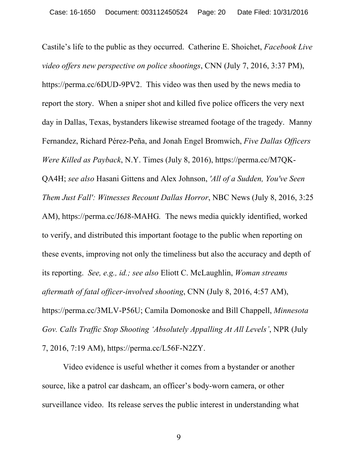Castile's life to the public as they occurred. Catherine E. Shoichet, *Facebook Live video offers new perspective on police shootings*, CNN (July 7, 2016, 3:37 PM), https://perma.cc/6DUD-9PV2. This video was then used by the news media to report the story. When a sniper shot and killed five police officers the very next day in Dallas, Texas, bystanders likewise streamed footage of the tragedy. Manny Fernandez, Richard Pérez-Peña, and Jonah Engel Bromwich, *Five Dallas Officers Were Killed as Payback*, N.Y. Times (July 8, 2016), https://perma.cc/M7QK-QA4H; *see also* Hasani Gittens and Alex Johnson, *'All of a Sudden, You've Seen Them Just Fall': Witnesses Recount Dallas Horror*, NBC News (July 8, 2016, 3:25 AM), https://perma.cc/J6J8-MAHG*.* The news media quickly identified, worked to verify, and distributed this important footage to the public when reporting on these events, improving not only the timeliness but also the accuracy and depth of its reporting. *See, e.g., id.; see also* Eliott C. McLaughlin, *Woman streams aftermath of fatal officer-involved shooting*, CNN (July 8, 2016, 4:57 AM), https://perma.cc/3MLV-P56U; Camila Domonoske and Bill Chappell, *Minnesota Gov. Calls Traffic Stop Shooting 'Absolutely Appalling At All Levels'*, NPR (July 7, 2016, 7:19 AM), https://perma.cc/L56F-N2ZY.

Video evidence is useful whether it comes from a bystander or another source, like a patrol car dashcam, an officer's body-worn camera, or other surveillance video. Its release serves the public interest in understanding what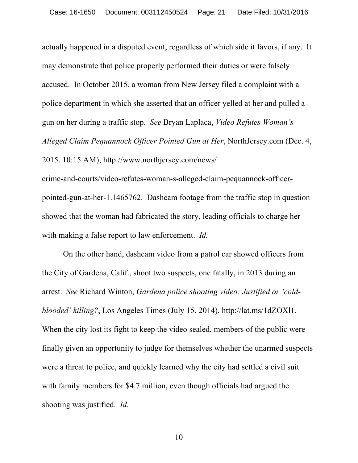actually happened in a disputed event, regardless of which side it favors, if any. It may demonstrate that police properly performed their duties or were falsely accused. In October 2015, a woman from New Jersey filed a complaint with a police department in which she asserted that an officer yelled at her and pulled a gun on her during a traffic stop. *See* Bryan Laplaca, *Video Refutes Woman's Alleged Claim Pequannock Officer Pointed Gun at Her*, NorthJersey.com (Dec. 4, 2015. 10:15 AM), http://www.northjersey.com/news/

crime-and-courts/video-refutes-woman-s-alleged-claim-pequannock-officerpointed-gun-at-her-1.1465762. Dashcam footage from the traffic stop in question showed that the woman had fabricated the story, leading officials to charge her with making a false report to law enforcement. *Id.* 

On the other hand, dashcam video from a patrol car showed officers from the City of Gardena, Calif., shoot two suspects, one fatally, in 2013 during an arrest. *See* Richard Winton, *Gardena police shooting video: Justified or 'coldblooded' killing?*, Los Angeles Times (July 15, 2014), http://lat.ms/1dZOXl1. When the city lost its fight to keep the video sealed, members of the public were finally given an opportunity to judge for themselves whether the unarmed suspects were a threat to police, and quickly learned why the city had settled a civil suit with family members for \$4.7 million, even though officials had argued the shooting was justified. *Id.*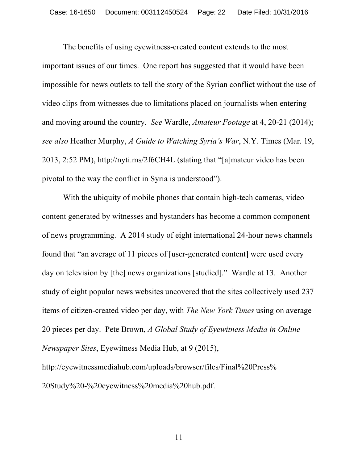The benefits of using eyewitness-created content extends to the most important issues of our times. One report has suggested that it would have been impossible for news outlets to tell the story of the Syrian conflict without the use of video clips from witnesses due to limitations placed on journalists when entering and moving around the country. *See* Wardle, *Amateur Footage* at 4, 20-21 (2014); *see also* Heather Murphy, *A Guide to Watching Syria's War*, N.Y. Times (Mar. 19, 2013, 2:52 PM), http://nyti.ms/2f6CH4L (stating that "[a]mateur video has been pivotal to the way the conflict in Syria is understood").

With the ubiquity of mobile phones that contain high-tech cameras, video content generated by witnesses and bystanders has become a common component of news programming. A 2014 study of eight international 24-hour news channels found that "an average of 11 pieces of [user-generated content] were used every day on television by [the] news organizations [studied]." Wardle at 13. Another study of eight popular news websites uncovered that the sites collectively used 237 items of citizen-created video per day, with *The New York Times* using on average 20 pieces per day. Pete Brown, *A Global Study of Eyewitness Media in Online Newspaper Sites*, Eyewitness Media Hub, at 9 (2015), http://eyewitnessmediahub.com/uploads/browser/files/Final%20Press%

20Study%20-%20eyewitness%20media%20hub.pdf.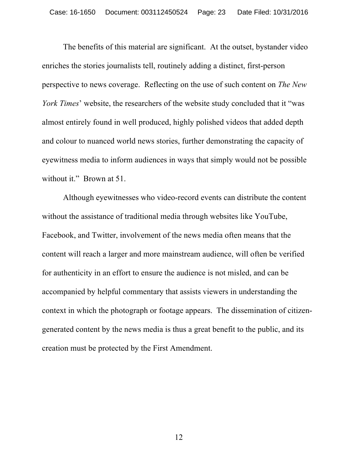The benefits of this material are significant. At the outset, bystander video enriches the stories journalists tell, routinely adding a distinct, first-person perspective to news coverage. Reflecting on the use of such content on *The New York Times*' website, the researchers of the website study concluded that it "was almost entirely found in well produced, highly polished videos that added depth and colour to nuanced world news stories, further demonstrating the capacity of eyewitness media to inform audiences in ways that simply would not be possible without it." Brown at 51.

Although eyewitnesses who video-record events can distribute the content without the assistance of traditional media through websites like YouTube, Facebook, and Twitter, involvement of the news media often means that the content will reach a larger and more mainstream audience, will often be verified for authenticity in an effort to ensure the audience is not misled, and can be accompanied by helpful commentary that assists viewers in understanding the context in which the photograph or footage appears. The dissemination of citizengenerated content by the news media is thus a great benefit to the public, and its creation must be protected by the First Amendment.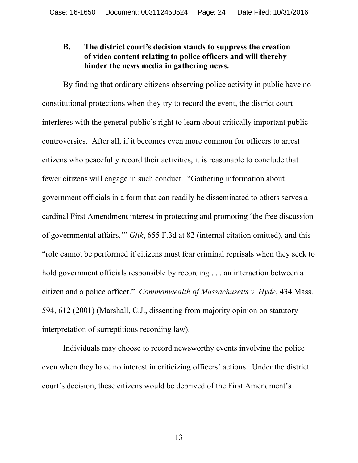## **B. The district court's decision stands to suppress the creation of video content relating to police officers and will thereby hinder the news media in gathering news.**

By finding that ordinary citizens observing police activity in public have no constitutional protections when they try to record the event, the district court interferes with the general public's right to learn about critically important public controversies. After all, if it becomes even more common for officers to arrest citizens who peacefully record their activities, it is reasonable to conclude that fewer citizens will engage in such conduct. "Gathering information about government officials in a form that can readily be disseminated to others serves a cardinal First Amendment interest in protecting and promoting 'the free discussion of governmental affairs,'" *Glik*, 655 F.3d at 82 (internal citation omitted), and this "role cannot be performed if citizens must fear criminal reprisals when they seek to hold government officials responsible by recording . . . an interaction between a citizen and a police officer." *Commonwealth of Massachusetts v. Hyde*, 434 Mass. 594, 612 (2001) (Marshall, C.J., dissenting from majority opinion on statutory interpretation of surreptitious recording law).

Individuals may choose to record newsworthy events involving the police even when they have no interest in criticizing officers' actions. Under the district court's decision, these citizens would be deprived of the First Amendment's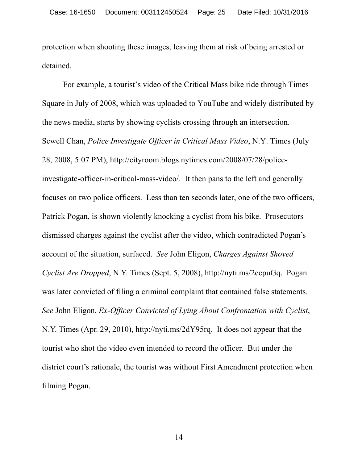protection when shooting these images, leaving them at risk of being arrested or detained.

For example, a tourist's video of the Critical Mass bike ride through Times Square in July of 2008, which was uploaded to YouTube and widely distributed by the news media, starts by showing cyclists crossing through an intersection. Sewell Chan, *Police Investigate Officer in Critical Mass Video*, N.Y. Times (July 28, 2008, 5:07 PM), http://cityroom.blogs.nytimes.com/2008/07/28/policeinvestigate-officer-in-critical-mass-video/. It then pans to the left and generally focuses on two police officers. Less than ten seconds later, one of the two officers, Patrick Pogan, is shown violently knocking a cyclist from his bike. Prosecutors dismissed charges against the cyclist after the video, which contradicted Pogan's account of the situation, surfaced. *See* John Eligon, *Charges Against Shoved Cyclist Are Dropped*, N.Y. Times (Sept. 5, 2008), http://nyti.ms/2ecpuGq. Pogan was later convicted of filing a criminal complaint that contained false statements. *See* John Eligon, *Ex-Officer Convicted of Lying About Confrontation with Cyclist*, N.Y. Times (Apr. 29, 2010), http://nyti.ms/2dY95rq. It does not appear that the tourist who shot the video even intended to record the officer. But under the district court's rationale, the tourist was without First Amendment protection when filming Pogan.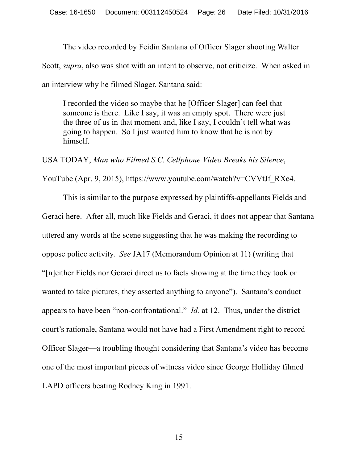The video recorded by Feidin Santana of Officer Slager shooting Walter

Scott, *supra*, also was shot with an intent to observe, not criticize. When asked in

an interview why he filmed Slager, Santana said:

I recorded the video so maybe that he [Officer Slager] can feel that someone is there. Like I say, it was an empty spot. There were just the three of us in that moment and, like I say, I couldn't tell what was going to happen. So I just wanted him to know that he is not by himself.

USA TODAY, *Man who Filmed S.C. Cellphone Video Breaks his Silence*,

YouTube (Apr. 9, 2015), https://www.youtube.com/watch?v=CVVtJf\_RXe4.

This is similar to the purpose expressed by plaintiffs-appellants Fields and Geraci here. After all, much like Fields and Geraci, it does not appear that Santana uttered any words at the scene suggesting that he was making the recording to oppose police activity. *See* JA17 (Memorandum Opinion at 11) (writing that "[n]either Fields nor Geraci direct us to facts showing at the time they took or wanted to take pictures, they asserted anything to anyone"). Santana's conduct appears to have been "non-confrontational." *Id.* at 12. Thus, under the district court's rationale, Santana would not have had a First Amendment right to record Officer Slager—a troubling thought considering that Santana's video has become one of the most important pieces of witness video since George Holliday filmed LAPD officers beating Rodney King in 1991.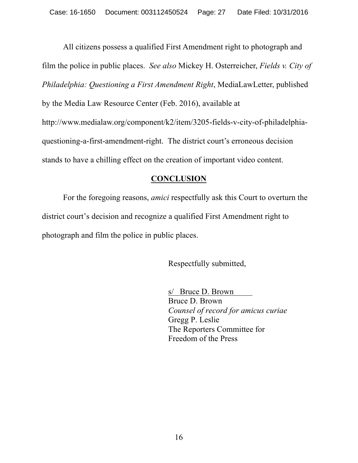All citizens possess a qualified First Amendment right to photograph and film the police in public places. *See also* Mickey H. Osterreicher, *Fields v. City of Philadelphia: Questioning a First Amendment Right*, MediaLawLetter, published by the Media Law Resource Center (Feb. 2016), available at http://www.medialaw.org/component/k2/item/3205-fields-v-city-of-philadelphiaquestioning-a-first-amendment-right. The district court's erroneous decision stands to have a chilling effect on the creation of important video content.

# **CONCLUSION**

For the foregoing reasons, *amici* respectfully ask this Court to overturn the district court's decision and recognize a qualified First Amendment right to photograph and film the police in public places.

Respectfully submitted,

s/ Bruce D. Brown Bruce D. Brown *Counsel of record for amicus curiae*  Gregg P. Leslie The Reporters Committee for Freedom of the Press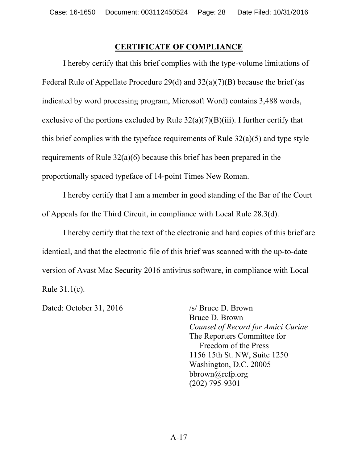### **CERTIFICATE OF COMPLIANCE**

I hereby certify that this brief complies with the type-volume limitations of Federal Rule of Appellate Procedure 29(d) and 32(a)(7)(B) because the brief (as indicated by word processing program, Microsoft Word) contains 3,488 words, exclusive of the portions excluded by Rule  $32(a)(7)(B)(iii)$ . I further certify that this brief complies with the typeface requirements of Rule 32(a)(5) and type style requirements of Rule 32(a)(6) because this brief has been prepared in the proportionally spaced typeface of 14-point Times New Roman.

I hereby certify that I am a member in good standing of the Bar of the Court of Appeals for the Third Circuit, in compliance with Local Rule 28.3(d).

I hereby certify that the text of the electronic and hard copies of this brief are identical, and that the electronic file of this brief was scanned with the up-to-date version of Avast Mac Security 2016 antivirus software, in compliance with Local Rule 31.1(c).

Dated: October 31, 2016 /s/ Bruce D. Brown

Bruce D. Brown *Counsel of Record for Amici Curiae* The Reporters Committee for Freedom of the Press 1156 15th St. NW, Suite 1250 Washington, D.C. 20005 bbrown@rcfp.org (202) 795-9301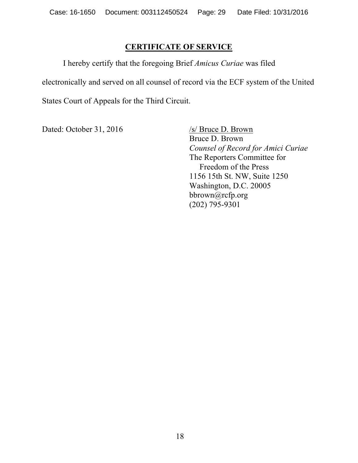## **CERTIFICATE OF SERVICE**

I hereby certify that the foregoing Brief *Amicus Curiae* was filed electronically and served on all counsel of record via the ECF system of the United States Court of Appeals for the Third Circuit.

Dated: October 31, 2016 /s/ Bruce D. Brown

Bruce D. Brown *Counsel of Record for Amici Curiae* The Reporters Committee for Freedom of the Press 1156 15th St. NW, Suite 1250 Washington, D.C. 20005 bbrown@rcfp.org (202) 795-9301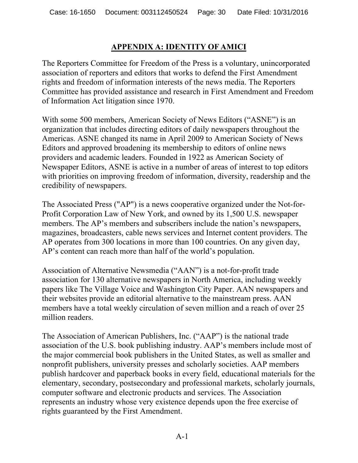## **APPENDIX A: IDENTITY OF AMICI**

The Reporters Committee for Freedom of the Press is a voluntary, unincorporated association of reporters and editors that works to defend the First Amendment rights and freedom of information interests of the news media. The Reporters Committee has provided assistance and research in First Amendment and Freedom of Information Act litigation since 1970.

With some 500 members, American Society of News Editors ("ASNE") is an organization that includes directing editors of daily newspapers throughout the Americas. ASNE changed its name in April 2009 to American Society of News Editors and approved broadening its membership to editors of online news providers and academic leaders. Founded in 1922 as American Society of Newspaper Editors, ASNE is active in a number of areas of interest to top editors with priorities on improving freedom of information, diversity, readership and the credibility of newspapers.

The Associated Press ("AP") is a news cooperative organized under the Not-for-Profit Corporation Law of New York, and owned by its 1,500 U.S. newspaper members. The AP's members and subscribers include the nation's newspapers, magazines, broadcasters, cable news services and Internet content providers. The AP operates from 300 locations in more than 100 countries. On any given day, AP's content can reach more than half of the world's population.

Association of Alternative Newsmedia ("AAN") is a not-for-profit trade association for 130 alternative newspapers in North America, including weekly papers like The Village Voice and Washington City Paper. AAN newspapers and their websites provide an editorial alternative to the mainstream press. AAN members have a total weekly circulation of seven million and a reach of over 25 million readers.

The Association of American Publishers, Inc. ("AAP") is the national trade association of the U.S. book publishing industry. AAP's members include most of the major commercial book publishers in the United States, as well as smaller and nonprofit publishers, university presses and scholarly societies. AAP members publish hardcover and paperback books in every field, educational materials for the elementary, secondary, postsecondary and professional markets, scholarly journals, computer software and electronic products and services. The Association represents an industry whose very existence depends upon the free exercise of rights guaranteed by the First Amendment.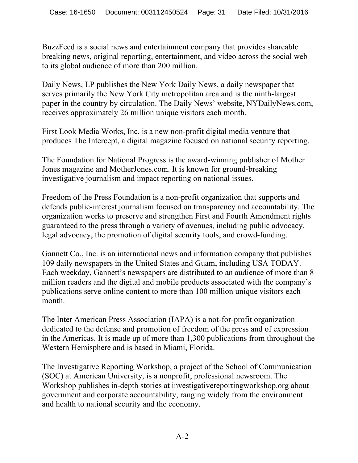BuzzFeed is a social news and entertainment company that provides shareable breaking news, original reporting, entertainment, and video across the social web to its global audience of more than 200 million.

Daily News, LP publishes the New York Daily News, a daily newspaper that serves primarily the New York City metropolitan area and is the ninth-largest paper in the country by circulation. The Daily News' website, NYDailyNews.com, receives approximately 26 million unique visitors each month.

First Look Media Works, Inc. is a new non-profit digital media venture that produces The Intercept, a digital magazine focused on national security reporting.

The Foundation for National Progress is the award-winning publisher of Mother Jones magazine and MotherJones.com. It is known for ground-breaking investigative journalism and impact reporting on national issues.

Freedom of the Press Foundation is a non-profit organization that supports and defends public-interest journalism focused on transparency and accountability. The organization works to preserve and strengthen First and Fourth Amendment rights guaranteed to the press through a variety of avenues, including public advocacy, legal advocacy, the promotion of digital security tools, and crowd-funding.

Gannett Co., Inc. is an international news and information company that publishes 109 daily newspapers in the United States and Guam, including USA TODAY. Each weekday, Gannett's newspapers are distributed to an audience of more than 8 million readers and the digital and mobile products associated with the company's publications serve online content to more than 100 million unique visitors each month.

The Inter American Press Association (IAPA) is a not-for-profit organization dedicated to the defense and promotion of freedom of the press and of expression in the Americas. It is made up of more than 1,300 publications from throughout the Western Hemisphere and is based in Miami, Florida.

The Investigative Reporting Workshop, a project of the School of Communication (SOC) at American University, is a nonprofit, professional newsroom. The Workshop publishes in-depth stories at investigativereportingworkshop.org about government and corporate accountability, ranging widely from the environment and health to national security and the economy.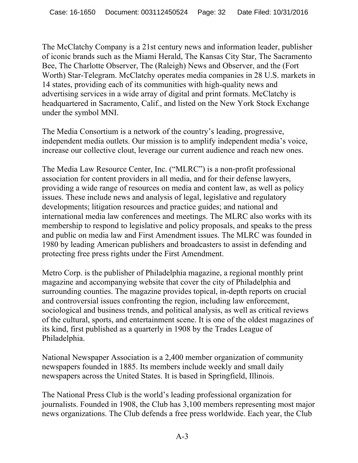The McClatchy Company is a 21st century news and information leader, publisher of iconic brands such as the Miami Herald, The Kansas City Star, The Sacramento Bee, The Charlotte Observer, The (Raleigh) News and Observer, and the (Fort Worth) Star-Telegram. McClatchy operates media companies in 28 U.S. markets in 14 states, providing each of its communities with high-quality news and advertising services in a wide array of digital and print formats. McClatchy is headquartered in Sacramento, Calif., and listed on the New York Stock Exchange under the symbol MNI.

The Media Consortium is a network of the country's leading, progressive, independent media outlets. Our mission is to amplify independent media's voice, increase our collective clout, leverage our current audience and reach new ones.

The Media Law Resource Center, Inc. ("MLRC") is a non-profit professional association for content providers in all media, and for their defense lawyers, providing a wide range of resources on media and content law, as well as policy issues. These include news and analysis of legal, legislative and regulatory developments; litigation resources and practice guides; and national and international media law conferences and meetings. The MLRC also works with its membership to respond to legislative and policy proposals, and speaks to the press and public on media law and First Amendment issues. The MLRC was founded in 1980 by leading American publishers and broadcasters to assist in defending and protecting free press rights under the First Amendment.

Metro Corp. is the publisher of Philadelphia magazine, a regional monthly print magazine and accompanying website that cover the city of Philadelphia and surrounding counties. The magazine provides topical, in-depth reports on crucial and controversial issues confronting the region, including law enforcement, sociological and business trends, and political analysis, as well as critical reviews of the cultural, sports, and entertainment scene. It is one of the oldest magazines of its kind, first published as a quarterly in 1908 by the Trades League of Philadelphia.

National Newspaper Association is a 2,400 member organization of community newspapers founded in 1885. Its members include weekly and small daily newspapers across the United States. It is based in Springfield, Illinois.

The National Press Club is the world's leading professional organization for journalists. Founded in 1908, the Club has 3,100 members representing most major news organizations. The Club defends a free press worldwide. Each year, the Club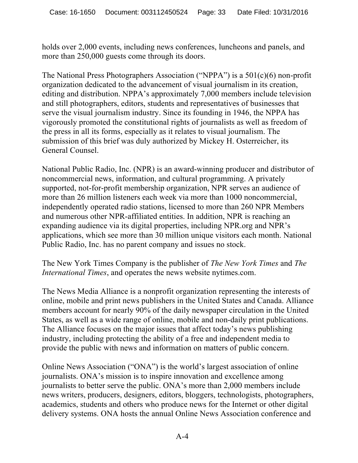holds over 2,000 events, including news conferences, luncheons and panels, and more than 250,000 guests come through its doors.

The National Press Photographers Association ("NPPA") is a 501(c)(6) non-profit organization dedicated to the advancement of visual journalism in its creation, editing and distribution. NPPA's approximately 7,000 members include television and still photographers, editors, students and representatives of businesses that serve the visual journalism industry. Since its founding in 1946, the NPPA has vigorously promoted the constitutional rights of journalists as well as freedom of the press in all its forms, especially as it relates to visual journalism. The submission of this brief was duly authorized by Mickey H. Osterreicher, its General Counsel.

National Public Radio, Inc. (NPR) is an award-winning producer and distributor of noncommercial news, information, and cultural programming. A privately supported, not-for-profit membership organization, NPR serves an audience of more than 26 million listeners each week via more than 1000 noncommercial, independently operated radio stations, licensed to more than 260 NPR Members and numerous other NPR-affiliated entities. In addition, NPR is reaching an expanding audience via its digital properties, including NPR.org and NPR's applications, which see more than 30 million unique visitors each month. National Public Radio, Inc. has no parent company and issues no stock.

The New York Times Company is the publisher of *The New York Times* and *The International Times*, and operates the news website nytimes.com.

The News Media Alliance is a nonprofit organization representing the interests of online, mobile and print news publishers in the United States and Canada. Alliance members account for nearly 90% of the daily newspaper circulation in the United States, as well as a wide range of online, mobile and non-daily print publications. The Alliance focuses on the major issues that affect today's news publishing industry, including protecting the ability of a free and independent media to provide the public with news and information on matters of public concern.

Online News Association ("ONA") is the world's largest association of online journalists. ONA's mission is to inspire innovation and excellence among journalists to better serve the public. ONA's more than 2,000 members include news writers, producers, designers, editors, bloggers, technologists, photographers, academics, students and others who produce news for the Internet or other digital delivery systems. ONA hosts the annual Online News Association conference and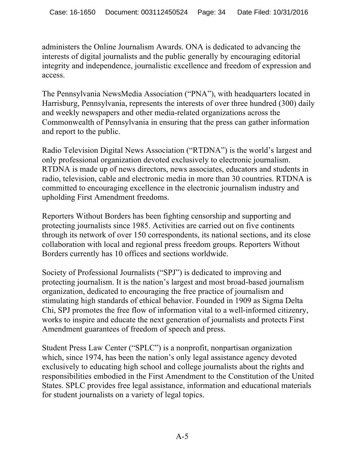administers the Online Journalism Awards. ONA is dedicated to advancing the interests of digital journalists and the public generally by encouraging editorial integrity and independence, journalistic excellence and freedom of expression and access.

The Pennsylvania NewsMedia Association ("PNA"), with headquarters located in Harrisburg, Pennsylvania, represents the interests of over three hundred (300) daily and weekly newspapers and other media-related organizations across the Commonwealth of Pennsylvania in ensuring that the press can gather information and report to the public.

Radio Television Digital News Association ("RTDNA") is the world's largest and only professional organization devoted exclusively to electronic journalism. RTDNA is made up of news directors, news associates, educators and students in radio, television, cable and electronic media in more than 30 countries. RTDNA is committed to encouraging excellence in the electronic journalism industry and upholding First Amendment freedoms.

Reporters Without Borders has been fighting censorship and supporting and protecting journalists since 1985. Activities are carried out on five continents through its network of over 150 correspondents, its national sections, and its close collaboration with local and regional press freedom groups. Reporters Without Borders currently has 10 offices and sections worldwide.

Society of Professional Journalists ("SPJ") is dedicated to improving and protecting journalism. It is the nation's largest and most broad-based journalism organization, dedicated to encouraging the free practice of journalism and stimulating high standards of ethical behavior. Founded in 1909 as Sigma Delta Chi, SPJ promotes the free flow of information vital to a well-informed citizenry, works to inspire and educate the next generation of journalists and protects First Amendment guarantees of freedom of speech and press.

Student Press Law Center ("SPLC") is a nonprofit, nonpartisan organization which, since 1974, has been the nation's only legal assistance agency devoted exclusively to educating high school and college journalists about the rights and responsibilities embodied in the First Amendment to the Constitution of the United States. SPLC provides free legal assistance, information and educational materials for student journalists on a variety of legal topics.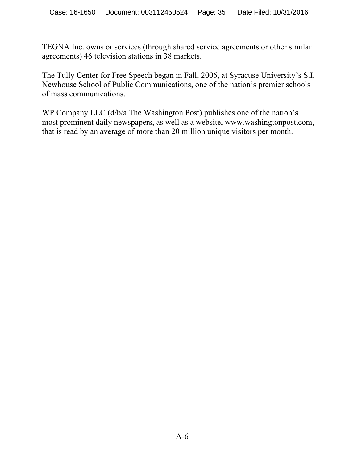TEGNA Inc. owns or services (through shared service agreements or other similar agreements) 46 television stations in 38 markets.

The Tully Center for Free Speech began in Fall, 2006, at Syracuse University's S.I. Newhouse School of Public Communications, one of the nation's premier schools of mass communications.

WP Company LLC (d/b/a The Washington Post) publishes one of the nation's most prominent daily newspapers, as well as a website, www.washingtonpost.com, that is read by an average of more than 20 million unique visitors per month.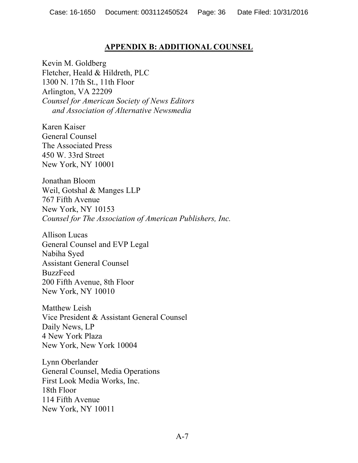### **APPENDIX B: ADDITIONAL COUNSEL**

Kevin M. Goldberg Fletcher, Heald & Hildreth, PLC 1300 N. 17th St., 11th Floor Arlington, VA 22209 *Counsel for American Society of News Editors and Association of Alternative Newsmedia*

Karen Kaiser General Counsel The Associated Press 450 W. 33rd Street New York, NY 10001

Jonathan Bloom Weil, Gotshal & Manges LLP 767 Fifth Avenue New York, NY 10153 *Counsel for The Association of American Publishers, Inc.*

Allison Lucas General Counsel and EVP Legal Nabiha Syed Assistant General Counsel BuzzFeed 200 Fifth Avenue, 8th Floor New York, NY 10010

Matthew Leish Vice President & Assistant General Counsel Daily News, LP 4 New York Plaza New York, New York 10004

Lynn Oberlander General Counsel, Media Operations First Look Media Works, Inc. 18th Floor 114 Fifth Avenue New York, NY 10011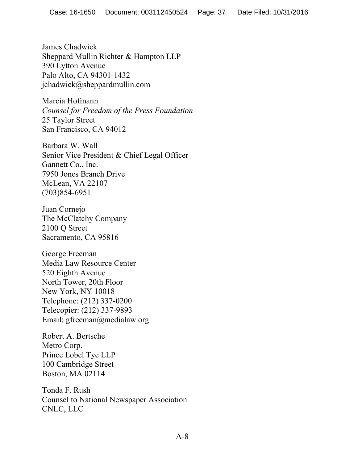James Chadwick Sheppard Mullin Richter & Hampton LLP 390 Lytton Avenue Palo Alto, CA 94301-1432 jchadwick@sheppardmullin.com

Marcia Hofmann *Counsel for Freedom of the Press Foundation* 25 Taylor Street San Francisco, CA 94012

Barbara W. Wall Senior Vice President & Chief Legal Officer Gannett Co., Inc. 7950 Jones Branch Drive McLean, VA 22107 (703)854-6951

Juan Cornejo The McClatchy Company 2100 Q Street Sacramento, CA 95816

George Freeman Media Law Resource Center 520 Eighth Avenue North Tower, 20th Floor New York, NY 10018 Telephone: (212) 337-0200 Telecopier: (212) 337-9893 Email: gfreeman@medialaw.org

Robert A. Bertsche Metro Corp. Prince Lobel Tye LLP 100 Cambridge Street Boston, MA 02114

Tonda F. Rush Counsel to National Newspaper Association CNLC, LLC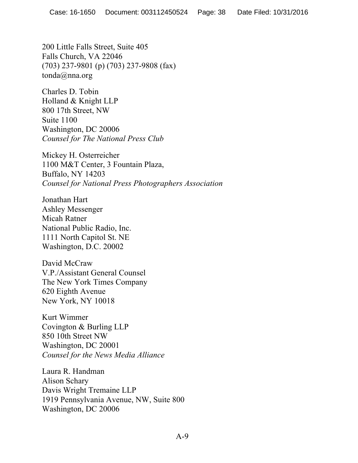200 Little Falls Street, Suite 405 Falls Church, VA 22046 (703) 237-9801 (p) (703) 237-9808 (fax) tonda@nna.org

Charles D. Tobin Holland & Knight LLP 800 17th Street, NW Suite 1100 Washington, DC 20006 *Counsel for The National Press Club*

Mickey H. Osterreicher 1100 M&T Center, 3 Fountain Plaza, Buffalo, NY 14203 *Counsel for National Press Photographers Association*

Jonathan Hart Ashley Messenger Micah Ratner National Public Radio, Inc. 1111 North Capitol St. NE Washington, D.C. 20002

David McCraw V.P./Assistant General Counsel The New York Times Company 620 Eighth Avenue New York, NY 10018

Kurt Wimmer Covington & Burling LLP 850 10th Street NW Washington, DC 20001 *Counsel for the News Media Alliance*

Laura R. Handman Alison Schary Davis Wright Tremaine LLP 1919 Pennsylvania Avenue, NW, Suite 800 Washington, DC 20006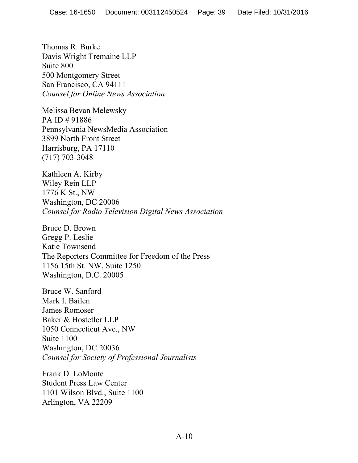Thomas R. Burke Davis Wright Tremaine LLP Suite 800 500 Montgomery Street San Francisco, CA 94111 *Counsel for Online News Association*

Melissa Bevan Melewsky PA ID # 91886 Pennsylvania NewsMedia Association 3899 North Front Street Harrisburg, PA 17110 (717) 703-3048

Kathleen A. Kirby Wiley Rein LLP 1776 K St., NW Washington, DC 20006 *Counsel for Radio Television Digital News Association*

Bruce D. Brown Gregg P. Leslie Katie Townsend The Reporters Committee for Freedom of the Press 1156 15th St. NW, Suite 1250 Washington, D.C. 20005

Bruce W. Sanford Mark I. Bailen James Romoser Baker & Hostetler LLP 1050 Connecticut Ave., NW Suite 1100 Washington, DC 20036 *Counsel for Society of Professional Journalists*

Frank D. LoMonte Student Press Law Center 1101 Wilson Blvd., Suite 1100 Arlington, VA 22209